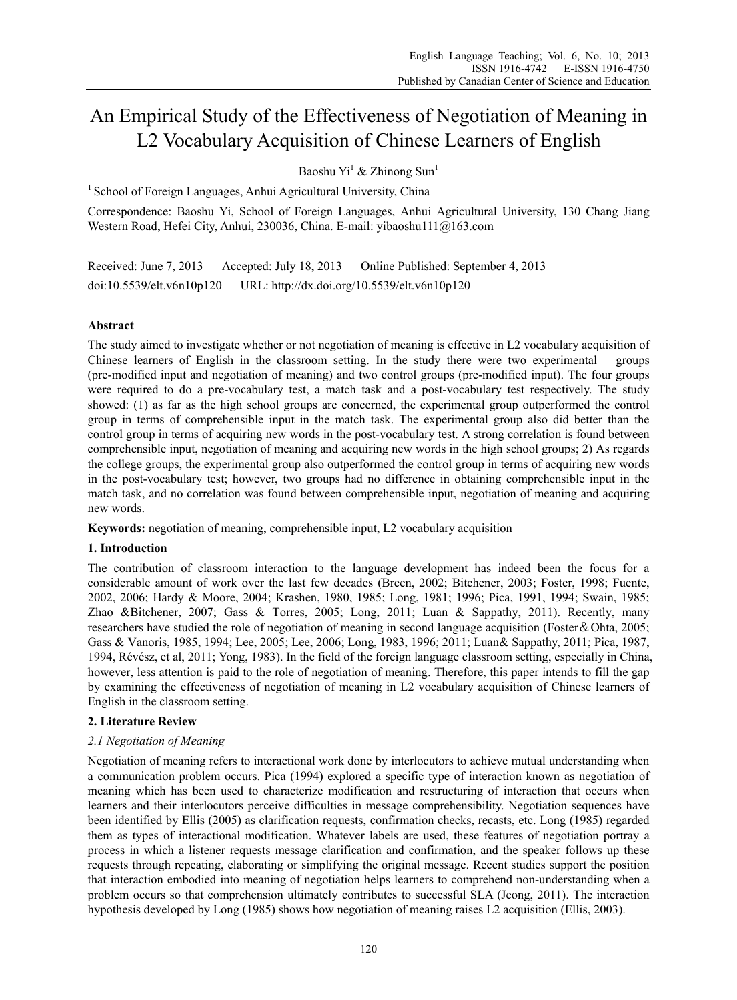# An Empirical Study of the Effectiveness of Negotiation of Meaning in L2 Vocabulary Acquisition of Chinese Learners of English

Baoshu Yi<sup>1</sup> & Zhinong Sun<sup>1</sup>

 $1$  School of Foreign Languages, Anhui Agricultural University, China

Correspondence: Baoshu Yi, School of Foreign Languages, Anhui Agricultural University, 130 Chang Jiang Western Road, Hefei City, Anhui, 230036, China. E-mail: yibaoshu111@163.com

Received: June 7, 2013 Accepted: July 18, 2013 Online Published: September 4, 2013 doi:10.5539/elt.v6n10p120 URL: http://dx.doi.org/10.5539/elt.v6n10p120

# **Abstract**

The study aimed to investigate whether or not negotiation of meaning is effective in L2 vocabulary acquisition of Chinese learners of English in the classroom setting. In the study there were two experimental groups (pre-modified input and negotiation of meaning) and two control groups (pre-modified input). The four groups were required to do a pre-vocabulary test, a match task and a post-vocabulary test respectively. The study showed: (1) as far as the high school groups are concerned, the experimental group outperformed the control group in terms of comprehensible input in the match task. The experimental group also did better than the control group in terms of acquiring new words in the post-vocabulary test. A strong correlation is found between comprehensible input, negotiation of meaning and acquiring new words in the high school groups; 2) As regards the college groups, the experimental group also outperformed the control group in terms of acquiring new words in the post-vocabulary test; however, two groups had no difference in obtaining comprehensible input in the match task, and no correlation was found between comprehensible input, negotiation of meaning and acquiring new words.

**Keywords:** negotiation of meaning, comprehensible input, L2 vocabulary acquisition

# **1. Introduction**

The contribution of classroom interaction to the language development has indeed been the focus for a considerable amount of work over the last few decades (Breen, 2002; Bitchener, 2003; Foster, 1998; Fuente, 2002, 2006; Hardy & Moore, 2004; Krashen, 1980, 1985; Long, 1981; 1996; Pica, 1991, 1994; Swain, 1985; Zhao &Bitchener, 2007; Gass & Torres, 2005; Long, 2011; Luan & Sappathy, 2011). Recently, many researchers have studied the role of negotiation of meaning in second language acquisition (Foster&Ohta, 2005; Gass & Vanoris, 1985, 1994; Lee, 2005; Lee, 2006; Long, 1983, 1996; 2011; Luan& Sappathy, 2011; Pica, 1987, 1994, Révész, et al, 2011; Yong, 1983). In the field of the foreign language classroom setting, especially in China, however, less attention is paid to the role of negotiation of meaning. Therefore, this paper intends to fill the gap by examining the effectiveness of negotiation of meaning in L2 vocabulary acquisition of Chinese learners of English in the classroom setting.

# **2. Literature Review**

# *2.1 Negotiation of Meaning*

Negotiation of meaning refers to interactional work done by interlocutors to achieve mutual understanding when a communication problem occurs. Pica (1994) explored a specific type of interaction known as negotiation of meaning which has been used to characterize modification and restructuring of interaction that occurs when learners and their interlocutors perceive difficulties in message comprehensibility. Negotiation sequences have been identified by Ellis (2005) as clarification requests, confirmation checks, recasts, etc. Long (1985) regarded them as types of interactional modification. Whatever labels are used, these features of negotiation portray a process in which a listener requests message clarification and confirmation, and the speaker follows up these requests through repeating, elaborating or simplifying the original message. Recent studies support the position that interaction embodied into meaning of negotiation helps learners to comprehend non-understanding when a problem occurs so that comprehension ultimately contributes to successful SLA (Jeong, 2011). The interaction hypothesis developed by Long (1985) shows how negotiation of meaning raises L2 acquisition (Ellis, 2003).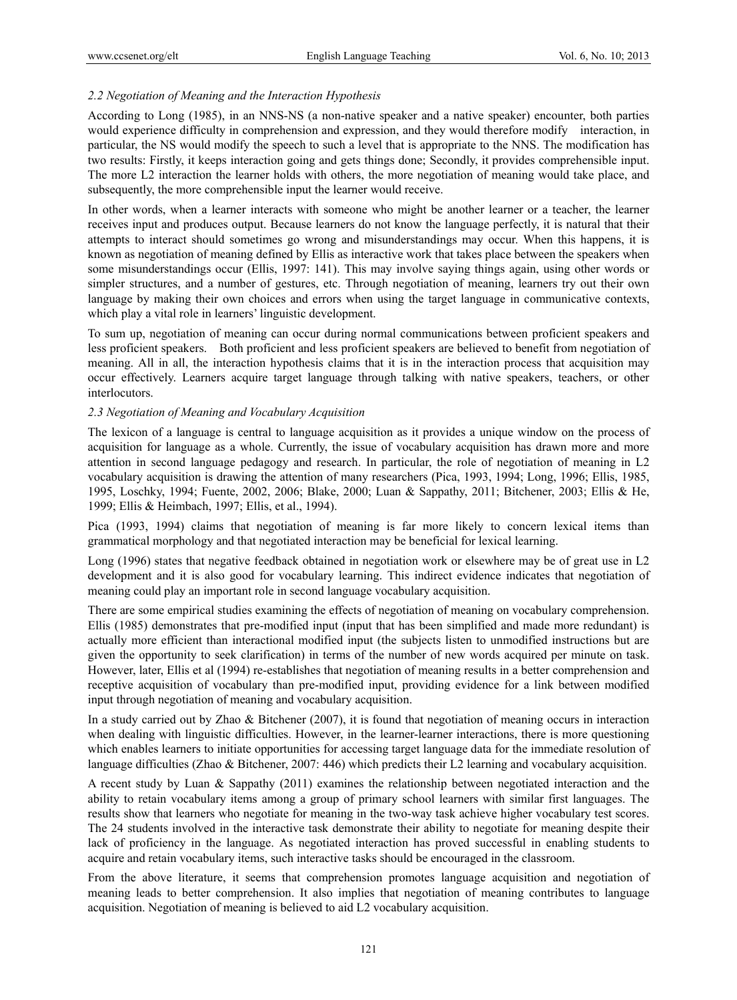### *2.2 Negotiation of Meaning and the Interaction Hypothesis*

According to Long (1985), in an NNS-NS (a non-native speaker and a native speaker) encounter, both parties would experience difficulty in comprehension and expression, and they would therefore modify interaction, in particular, the NS would modify the speech to such a level that is appropriate to the NNS. The modification has two results: Firstly, it keeps interaction going and gets things done; Secondly, it provides comprehensible input. The more L2 interaction the learner holds with others, the more negotiation of meaning would take place, and subsequently, the more comprehensible input the learner would receive.

In other words, when a learner interacts with someone who might be another learner or a teacher, the learner receives input and produces output. Because learners do not know the language perfectly, it is natural that their attempts to interact should sometimes go wrong and misunderstandings may occur. When this happens, it is known as negotiation of meaning defined by Ellis as interactive work that takes place between the speakers when some misunderstandings occur (Ellis, 1997: 141). This may involve saying things again, using other words or simpler structures, and a number of gestures, etc. Through negotiation of meaning, learners try out their own language by making their own choices and errors when using the target language in communicative contexts, which play a vital role in learners' linguistic development.

To sum up, negotiation of meaning can occur during normal communications between proficient speakers and less proficient speakers. Both proficient and less proficient speakers are believed to benefit from negotiation of meaning. All in all, the interaction hypothesis claims that it is in the interaction process that acquisition may occur effectively. Learners acquire target language through talking with native speakers, teachers, or other interlocutors.

### *2.3 Negotiation of Meaning and Vocabulary Acquisition*

The lexicon of a language is central to language acquisition as it provides a unique window on the process of acquisition for language as a whole. Currently, the issue of vocabulary acquisition has drawn more and more attention in second language pedagogy and research. In particular, the role of negotiation of meaning in L2 vocabulary acquisition is drawing the attention of many researchers (Pica, 1993, 1994; Long, 1996; Ellis, 1985, 1995, Loschky, 1994; Fuente, 2002, 2006; Blake, 2000; Luan & Sappathy, 2011; Bitchener, 2003; Ellis & He, 1999; Ellis & Heimbach, 1997; Ellis, et al., 1994).

Pica (1993, 1994) claims that negotiation of meaning is far more likely to concern lexical items than grammatical morphology and that negotiated interaction may be beneficial for lexical learning.

Long (1996) states that negative feedback obtained in negotiation work or elsewhere may be of great use in L2 development and it is also good for vocabulary learning. This indirect evidence indicates that negotiation of meaning could play an important role in second language vocabulary acquisition.

There are some empirical studies examining the effects of negotiation of meaning on vocabulary comprehension. Ellis (1985) demonstrates that pre-modified input (input that has been simplified and made more redundant) is actually more efficient than interactional modified input (the subjects listen to unmodified instructions but are given the opportunity to seek clarification) in terms of the number of new words acquired per minute on task. However, later, Ellis et al (1994) re-establishes that negotiation of meaning results in a better comprehension and receptive acquisition of vocabulary than pre-modified input, providing evidence for a link between modified input through negotiation of meaning and vocabulary acquisition.

In a study carried out by Zhao & Bitchener (2007), it is found that negotiation of meaning occurs in interaction when dealing with linguistic difficulties. However, in the learner-learner interactions, there is more questioning which enables learners to initiate opportunities for accessing target language data for the immediate resolution of language difficulties (Zhao & Bitchener, 2007: 446) which predicts their L2 learning and vocabulary acquisition.

A recent study by Luan & Sappathy (2011) examines the relationship between negotiated interaction and the ability to retain vocabulary items among a group of primary school learners with similar first languages. The results show that learners who negotiate for meaning in the two-way task achieve higher vocabulary test scores. The 24 students involved in the interactive task demonstrate their ability to negotiate for meaning despite their lack of proficiency in the language. As negotiated interaction has proved successful in enabling students to acquire and retain vocabulary items, such interactive tasks should be encouraged in the classroom.

From the above literature, it seems that comprehension promotes language acquisition and negotiation of meaning leads to better comprehension. It also implies that negotiation of meaning contributes to language acquisition. Negotiation of meaning is believed to aid L2 vocabulary acquisition.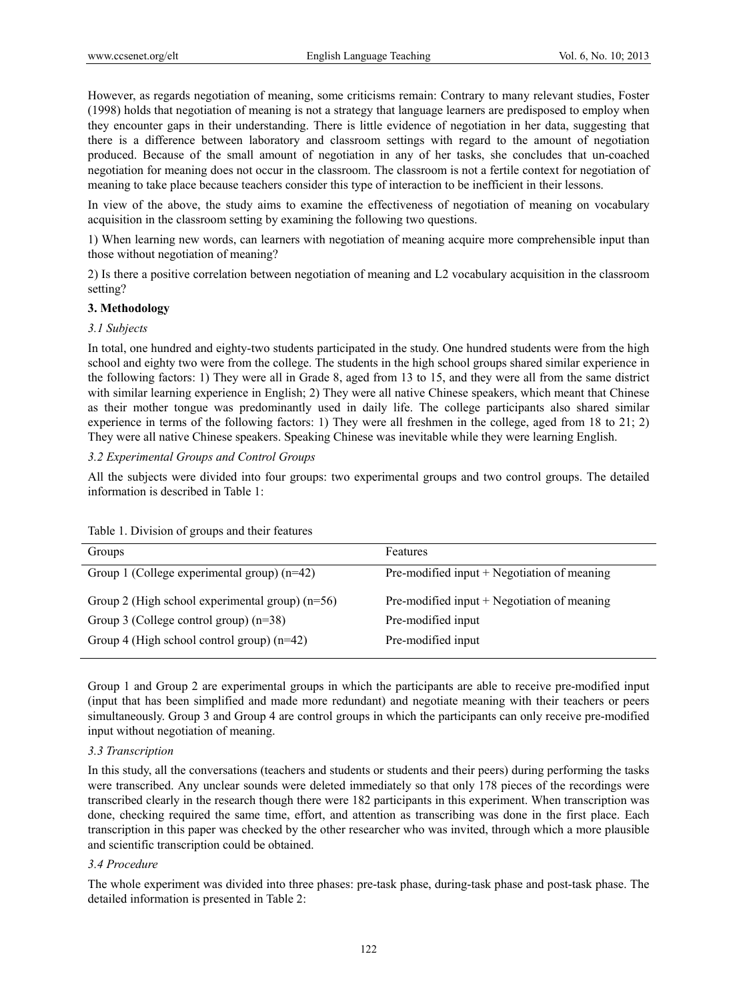However, as regards negotiation of meaning, some criticisms remain: Contrary to many relevant studies, Foster (1998) holds that negotiation of meaning is not a strategy that language learners are predisposed to employ when they encounter gaps in their understanding. There is little evidence of negotiation in her data, suggesting that there is a difference between laboratory and classroom settings with regard to the amount of negotiation produced. Because of the small amount of negotiation in any of her tasks, she concludes that un-coached negotiation for meaning does not occur in the classroom. The classroom is not a fertile context for negotiation of meaning to take place because teachers consider this type of interaction to be inefficient in their lessons.

In view of the above, the study aims to examine the effectiveness of negotiation of meaning on vocabulary acquisition in the classroom setting by examining the following two questions.

1) When learning new words, can learners with negotiation of meaning acquire more comprehensible input than those without negotiation of meaning?

2) Is there a positive correlation between negotiation of meaning and L2 vocabulary acquisition in the classroom setting?

### **3. Methodology**

#### *3.1 Subjects*

In total, one hundred and eighty-two students participated in the study. One hundred students were from the high school and eighty two were from the college. The students in the high school groups shared similar experience in the following factors: 1) They were all in Grade 8, aged from 13 to 15, and they were all from the same district with similar learning experience in English; 2) They were all native Chinese speakers, which meant that Chinese as their mother tongue was predominantly used in daily life. The college participants also shared similar experience in terms of the following factors: 1) They were all freshmen in the college, aged from 18 to 21; 2) They were all native Chinese speakers. Speaking Chinese was inevitable while they were learning English.

*3.2 Experimental Groups and Control Groups* 

All the subjects were divided into four groups: two experimental groups and two control groups. The detailed information is described in Table 1:

| Groups                                            | Features                                      |
|---------------------------------------------------|-----------------------------------------------|
| Group 1 (College experimental group) $(n=42)$     | Pre-modified input $+$ Negotiation of meaning |
| Group 2 (High school experimental group) $(n=56)$ | Pre-modified input $+$ Negotiation of meaning |
| Group 3 (College control group) $(n=38)$          | Pre-modified input                            |
| Group 4 (High school control group) $(n=42)$      | Pre-modified input                            |

Table 1. Division of groups and their features

Group 1 and Group 2 are experimental groups in which the participants are able to receive pre-modified input (input that has been simplified and made more redundant) and negotiate meaning with their teachers or peers simultaneously. Group 3 and Group 4 are control groups in which the participants can only receive pre-modified input without negotiation of meaning.

### *3.3 Transcription*

In this study, all the conversations (teachers and students or students and their peers) during performing the tasks were transcribed. Any unclear sounds were deleted immediately so that only 178 pieces of the recordings were transcribed clearly in the research though there were 182 participants in this experiment. When transcription was done, checking required the same time, effort, and attention as transcribing was done in the first place. Each transcription in this paper was checked by the other researcher who was invited, through which a more plausible and scientific transcription could be obtained.

#### *3.4 Procedure*

The whole experiment was divided into three phases: pre-task phase, during-task phase and post-task phase. The detailed information is presented in Table 2: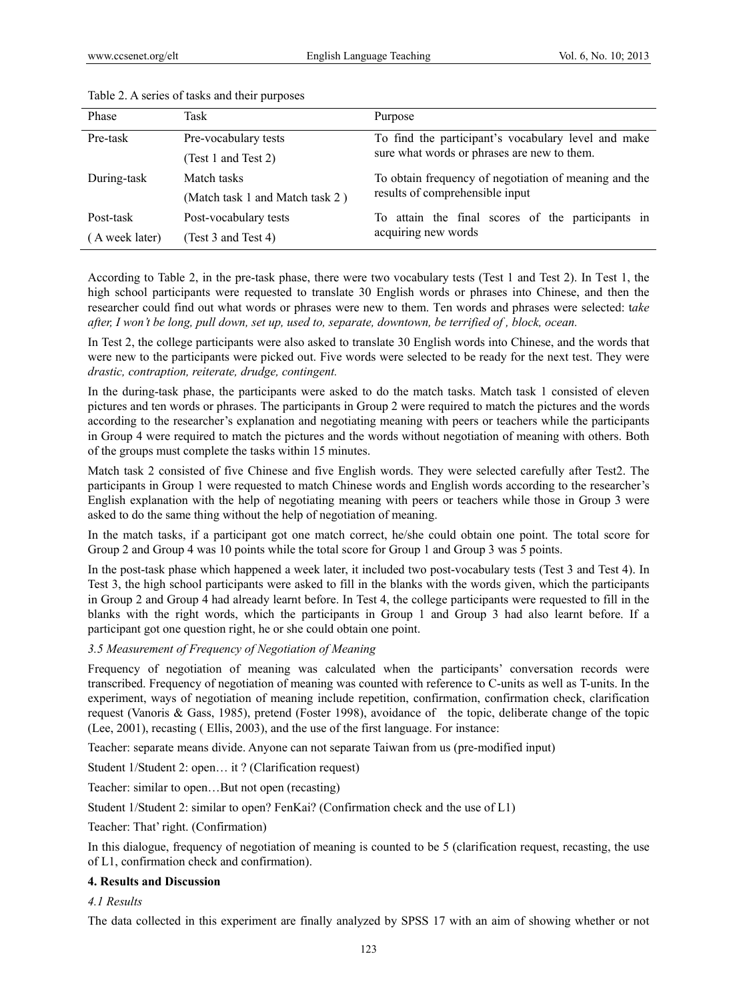| Phase          | Task                            | Purpose                                                                                  |  |
|----------------|---------------------------------|------------------------------------------------------------------------------------------|--|
| Pre-task       | Pre-vocabulary tests            | To find the participant's vocabulary level and make                                      |  |
|                | (Test 1 and Test 2)             | sure what words or phrases are new to them.                                              |  |
| During-task    | Match tasks                     | To obtain frequency of negotiation of meaning and the<br>results of comprehensible input |  |
|                | (Match task 1 and Match task 2) |                                                                                          |  |
| Post-task      | Post-vocabulary tests           | To attain the final scores of the participants in                                        |  |
| (A week later) | (Test 3 and Test 4)             | acquiring new words                                                                      |  |

#### Table 2. A series of tasks and their purposes

According to Table 2, in the pre-task phase, there were two vocabulary tests (Test 1 and Test 2). In Test 1, the high school participants were requested to translate 30 English words or phrases into Chinese, and then the researcher could find out what words or phrases were new to them. Ten words and phrases were selected: t*ake after, I won't be long, pull down, set up, used to, separate, downtown, be terrified of , block, ocean.* 

In Test 2, the college participants were also asked to translate 30 English words into Chinese, and the words that were new to the participants were picked out. Five words were selected to be ready for the next test. They were *drastic, contraption, reiterate, drudge, contingent.* 

In the during-task phase, the participants were asked to do the match tasks. Match task 1 consisted of eleven pictures and ten words or phrases. The participants in Group 2 were required to match the pictures and the words according to the researcher's explanation and negotiating meaning with peers or teachers while the participants in Group 4 were required to match the pictures and the words without negotiation of meaning with others. Both of the groups must complete the tasks within 15 minutes.

Match task 2 consisted of five Chinese and five English words. They were selected carefully after Test2. The participants in Group 1 were requested to match Chinese words and English words according to the researcher's English explanation with the help of negotiating meaning with peers or teachers while those in Group 3 were asked to do the same thing without the help of negotiation of meaning.

In the match tasks, if a participant got one match correct, he/she could obtain one point. The total score for Group 2 and Group 4 was 10 points while the total score for Group 1 and Group 3 was 5 points.

In the post-task phase which happened a week later, it included two post-vocabulary tests (Test 3 and Test 4). In Test 3, the high school participants were asked to fill in the blanks with the words given, which the participants in Group 2 and Group 4 had already learnt before. In Test 4, the college participants were requested to fill in the blanks with the right words, which the participants in Group 1 and Group 3 had also learnt before. If a participant got one question right, he or she could obtain one point.

### *3.5 Measurement of Frequency of Negotiation of Meaning*

Frequency of negotiation of meaning was calculated when the participants' conversation records were transcribed. Frequency of negotiation of meaning was counted with reference to C-units as well as T-units. In the experiment, ways of negotiation of meaning include repetition, confirmation, confirmation check, clarification request (Vanoris & Gass, 1985), pretend (Foster 1998), avoidance of the topic, deliberate change of the topic (Lee, 2001), recasting ( Ellis, 2003), and the use of the first language. For instance:

Teacher: separate means divide. Anyone can not separate Taiwan from us (pre-modified input)

Student 1/Student 2: open… it ? (Clarification request)

Teacher: similar to open…But not open (recasting)

Student 1/Student 2: similar to open? FenKai? (Confirmation check and the use of L1)

Teacher: That' right. (Confirmation)

In this dialogue, frequency of negotiation of meaning is counted to be 5 (clarification request, recasting, the use of L1, confirmation check and confirmation).

### **4. Results and Discussion**

*4.1 Results* 

The data collected in this experiment are finally analyzed by SPSS 17 with an aim of showing whether or not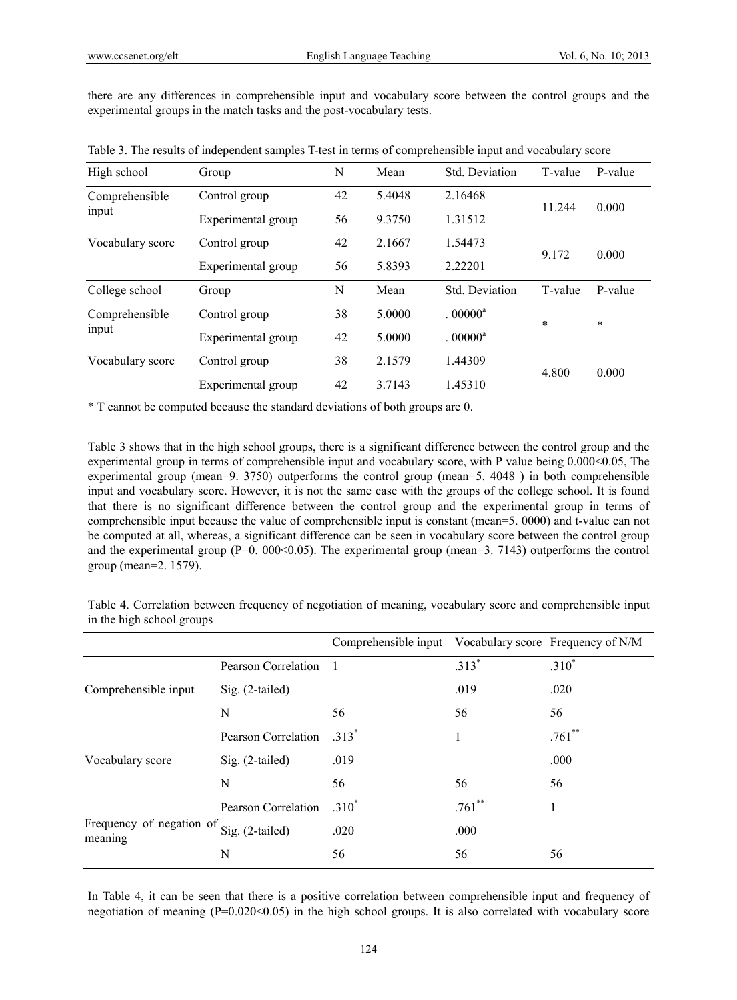there are any differences in comprehensible input and vocabulary score between the control groups and the experimental groups in the match tasks and the post-vocabulary tests.

| High school             | Group              | N  | Mean   | Std. Deviation        | T-value        | P-value |
|-------------------------|--------------------|----|--------|-----------------------|----------------|---------|
| Comprehensible<br>input | Control group      | 42 | 5.4048 | 2.16468               | 11.244         | 0.000   |
|                         | Experimental group | 56 | 9.3750 | 1.31512               |                |         |
| Vocabulary score        | Control group      | 42 | 2.1667 | 1.54473               | 0.000<br>9.172 |         |
|                         | Experimental group | 56 | 5.8393 | 2.22201               |                |         |
|                         |                    |    |        |                       |                |         |
| College school          | Group              | N  | Mean   | Std. Deviation        | T-value        | P-value |
| Comprehensible          | Control group      | 38 | 5.0000 | $.00000$ <sup>a</sup> | $\ast$         |         |
| input                   | Experimental group | 42 | 5.0000 | $.00000$ <sup>a</sup> |                | $\ast$  |
| Vocabulary score        | Control group      | 38 | 2.1579 | 1.44309               | 4.800          | 0.000   |

Table 3. The results of independent samples T-test in terms of comprehensible input and vocabulary score

\* T cannot be computed because the standard deviations of both groups are 0.

Table 3 shows that in the high school groups, there is a significant difference between the control group and the experimental group in terms of comprehensible input and vocabulary score, with P value being 0.000 < 0.05, The experimental group (mean=9. 3750) outperforms the control group (mean=5. 4048 ) in both comprehensible input and vocabulary score. However, it is not the same case with the groups of the college school. It is found that there is no significant difference between the control group and the experimental group in terms of comprehensible input because the value of comprehensible input is constant (mean=5. 0000) and t-value can not be computed at all, whereas, a significant difference can be seen in vocabulary score between the control group and the experimental group (P=0. 000<0.05). The experimental group (mean=3. 7143) outperforms the control group (mean=2. 1579).

Table 4. Correlation between frequency of negotiation of meaning, vocabulary score and comprehensible input in the high school groups

|                                                     |                     | Comprehensible input Vocabulary score Frequency of N/M |           |           |
|-----------------------------------------------------|---------------------|--------------------------------------------------------|-----------|-----------|
| Comprehensible input                                | Pearson Correlation | $\blacksquare$                                         | $.313*$   | $.310*$   |
|                                                     | Sig. (2-tailed)     |                                                        | .019      | .020      |
|                                                     | N                   | 56                                                     | 56        | 56        |
| Vocabulary score                                    | Pearson Correlation | $.313*$                                                |           | $.761$ ** |
|                                                     | Sig. (2-tailed)     | .019                                                   |           | .000      |
|                                                     | N                   | 56                                                     | 56        | 56        |
| Frequency of negation of Sig. (2-tailed)<br>meaning | Pearson Correlation | $.310*$                                                | $.761$ ** | 1         |
|                                                     |                     | .020                                                   | .000      |           |
|                                                     | N                   | 56                                                     | 56        | 56        |

In Table 4, it can be seen that there is a positive correlation between comprehensible input and frequency of negotiation of meaning (P=0.020<0.05) in the high school groups. It is also correlated with vocabulary score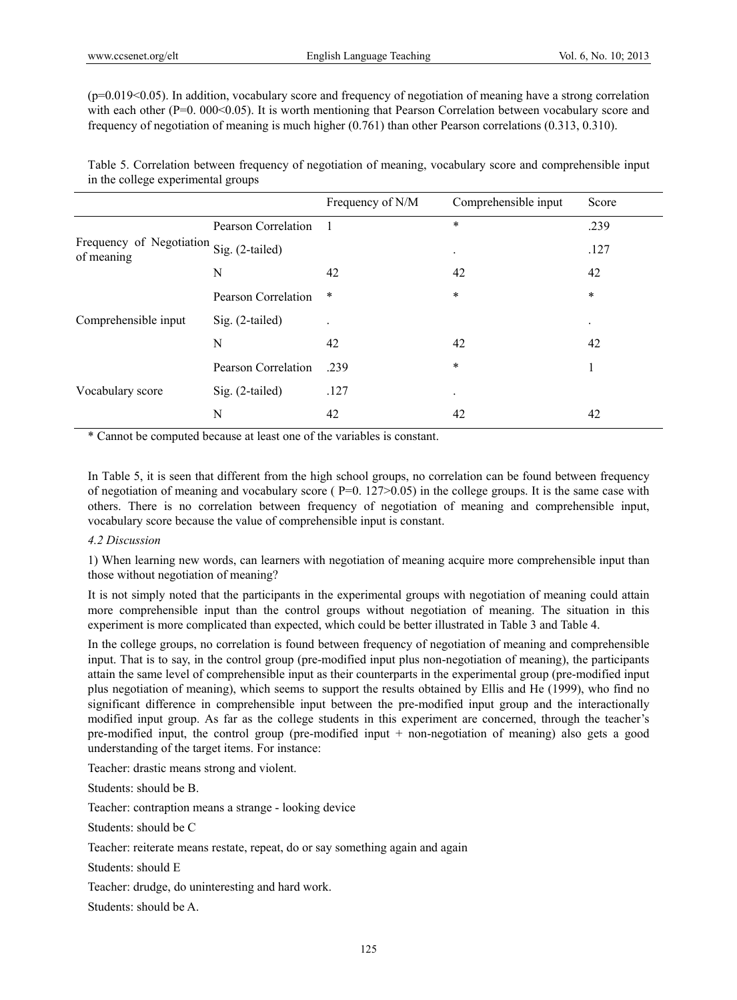$(p=0.019<0.05)$ . In addition, vocabulary score and frequency of negotiation of meaning have a strong correlation with each other (P=0. 000<0.05). It is worth mentioning that Pearson Correlation between vocabulary score and frequency of negotiation of meaning is much higher (0.761) than other Pearson correlations (0.313, 0.310).

Table 5. Correlation between frequency of negotiation of meaning, vocabulary score and comprehensible input in the college experimental groups

|                                                             |                     | Frequency of N/M | Comprehensible input | Score                |
|-------------------------------------------------------------|---------------------|------------------|----------------------|----------------------|
| Frequency of Negotiation Sig. (2-tailed)<br>of meaning<br>N | Pearson Correlation | 1                | $\ast$               | .239                 |
|                                                             |                     |                  | ٠                    | .127                 |
|                                                             |                     | 42               | 42                   | 42                   |
| Comprehensible input                                        | Pearson Correlation | $\ast$           | $\ast$               | $\ast$               |
|                                                             | Sig. (2-tailed)     |                  |                      | $\ddot{\phantom{0}}$ |
|                                                             | N                   | 42               | 42                   | 42                   |
| Vocabulary score                                            | Pearson Correlation | .239             | $\ast$               |                      |
|                                                             | $Sig. (2-tailed)$   | .127             | $\bullet$            |                      |
|                                                             | N                   | 42               | 42                   | 42                   |

\* Cannot be computed because at least one of the variables is constant.

In Table 5, it is seen that different from the high school groups, no correlation can be found between frequency of negotiation of meaning and vocabulary score ( $P=0.127>0.05$ ) in the college groups. It is the same case with others. There is no correlation between frequency of negotiation of meaning and comprehensible input, vocabulary score because the value of comprehensible input is constant.

## *4.2 Discussion*

1) When learning new words, can learners with negotiation of meaning acquire more comprehensible input than those without negotiation of meaning?

It is not simply noted that the participants in the experimental groups with negotiation of meaning could attain more comprehensible input than the control groups without negotiation of meaning. The situation in this experiment is more complicated than expected, which could be better illustrated in Table 3 and Table 4.

In the college groups, no correlation is found between frequency of negotiation of meaning and comprehensible input. That is to say, in the control group (pre-modified input plus non-negotiation of meaning), the participants attain the same level of comprehensible input as their counterparts in the experimental group (pre-modified input plus negotiation of meaning), which seems to support the results obtained by Ellis and He (1999), who find no significant difference in comprehensible input between the pre-modified input group and the interactionally modified input group. As far as the college students in this experiment are concerned, through the teacher's pre-modified input, the control group (pre-modified input + non-negotiation of meaning) also gets a good understanding of the target items. For instance:

Teacher: drastic means strong and violent.

Students: should be B.

Teacher: contraption means a strange - looking device

Students: should be C

Teacher: reiterate means restate, repeat, do or say something again and again

Students: should E

Teacher: drudge, do uninteresting and hard work.

Students: should be A.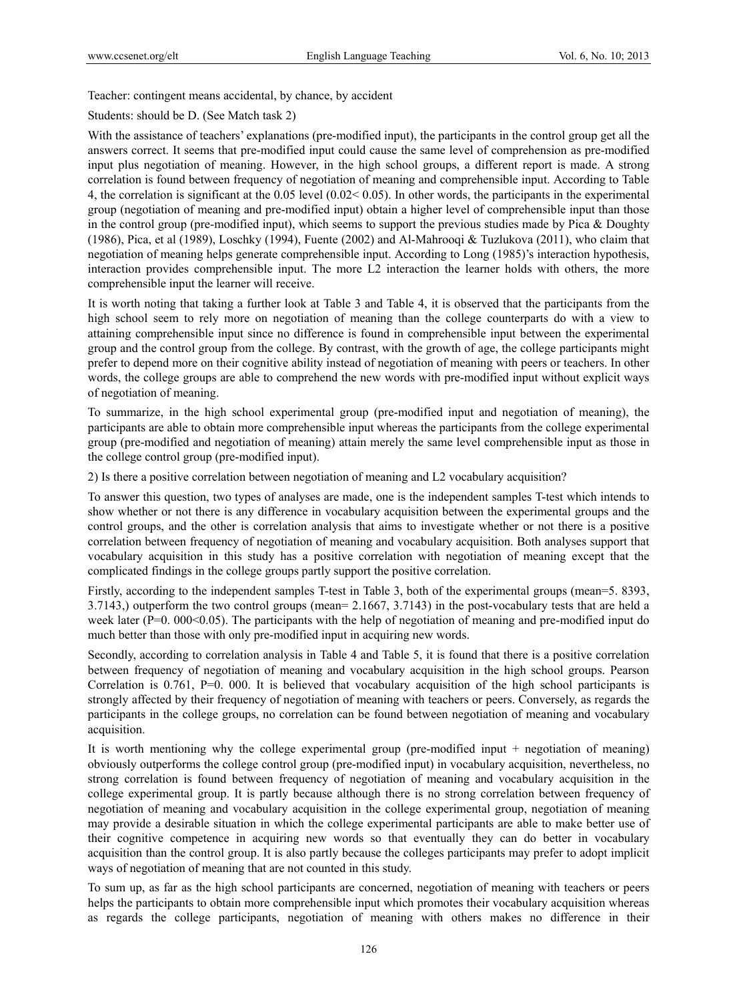Teacher: contingent means accidental, by chance, by accident

Students: should be D. (See Match task 2)

With the assistance of teachers' explanations (pre-modified input), the participants in the control group get all the answers correct. It seems that pre-modified input could cause the same level of comprehension as pre-modified input plus negotiation of meaning. However, in the high school groups, a different report is made. A strong correlation is found between frequency of negotiation of meaning and comprehensible input. According to Table 4, the correlation is significant at the 0.05 level (0.02< 0.05). In other words, the participants in the experimental group (negotiation of meaning and pre-modified input) obtain a higher level of comprehensible input than those in the control group (pre-modified input), which seems to support the previous studies made by Pica & Doughty (1986), Pica, et al (1989), Loschky (1994), Fuente (2002) and Al-Mahrooqi & Tuzlukova (2011), who claim that negotiation of meaning helps generate comprehensible input. According to Long (1985)'s interaction hypothesis, interaction provides comprehensible input. The more L2 interaction the learner holds with others, the more comprehensible input the learner will receive.

It is worth noting that taking a further look at Table 3 and Table 4, it is observed that the participants from the high school seem to rely more on negotiation of meaning than the college counterparts do with a view to attaining comprehensible input since no difference is found in comprehensible input between the experimental group and the control group from the college. By contrast, with the growth of age, the college participants might prefer to depend more on their cognitive ability instead of negotiation of meaning with peers or teachers. In other words, the college groups are able to comprehend the new words with pre-modified input without explicit ways of negotiation of meaning.

To summarize, in the high school experimental group (pre-modified input and negotiation of meaning), the participants are able to obtain more comprehensible input whereas the participants from the college experimental group (pre-modified and negotiation of meaning) attain merely the same level comprehensible input as those in the college control group (pre-modified input).

2) Is there a positive correlation between negotiation of meaning and L2 vocabulary acquisition?

To answer this question, two types of analyses are made, one is the independent samples T-test which intends to show whether or not there is any difference in vocabulary acquisition between the experimental groups and the control groups, and the other is correlation analysis that aims to investigate whether or not there is a positive correlation between frequency of negotiation of meaning and vocabulary acquisition. Both analyses support that vocabulary acquisition in this study has a positive correlation with negotiation of meaning except that the complicated findings in the college groups partly support the positive correlation.

Firstly, according to the independent samples T-test in Table 3, both of the experimental groups (mean=5. 8393, 3.7143,) outperform the two control groups (mean= 2.1667, 3.7143) in the post-vocabulary tests that are held a week later ( $P=0.000<0.05$ ). The participants with the help of negotiation of meaning and pre-modified input do much better than those with only pre-modified input in acquiring new words.

Secondly, according to correlation analysis in Table 4 and Table 5, it is found that there is a positive correlation between frequency of negotiation of meaning and vocabulary acquisition in the high school groups. Pearson Correlation is 0.761, P=0. 000. It is believed that vocabulary acquisition of the high school participants is strongly affected by their frequency of negotiation of meaning with teachers or peers. Conversely, as regards the participants in the college groups, no correlation can be found between negotiation of meaning and vocabulary acquisition.

It is worth mentioning why the college experimental group (pre-modified input  $+$  negotiation of meaning) obviously outperforms the college control group (pre-modified input) in vocabulary acquisition, nevertheless, no strong correlation is found between frequency of negotiation of meaning and vocabulary acquisition in the college experimental group. It is partly because although there is no strong correlation between frequency of negotiation of meaning and vocabulary acquisition in the college experimental group, negotiation of meaning may provide a desirable situation in which the college experimental participants are able to make better use of their cognitive competence in acquiring new words so that eventually they can do better in vocabulary acquisition than the control group. It is also partly because the colleges participants may prefer to adopt implicit ways of negotiation of meaning that are not counted in this study.

To sum up, as far as the high school participants are concerned, negotiation of meaning with teachers or peers helps the participants to obtain more comprehensible input which promotes their vocabulary acquisition whereas as regards the college participants, negotiation of meaning with others makes no difference in their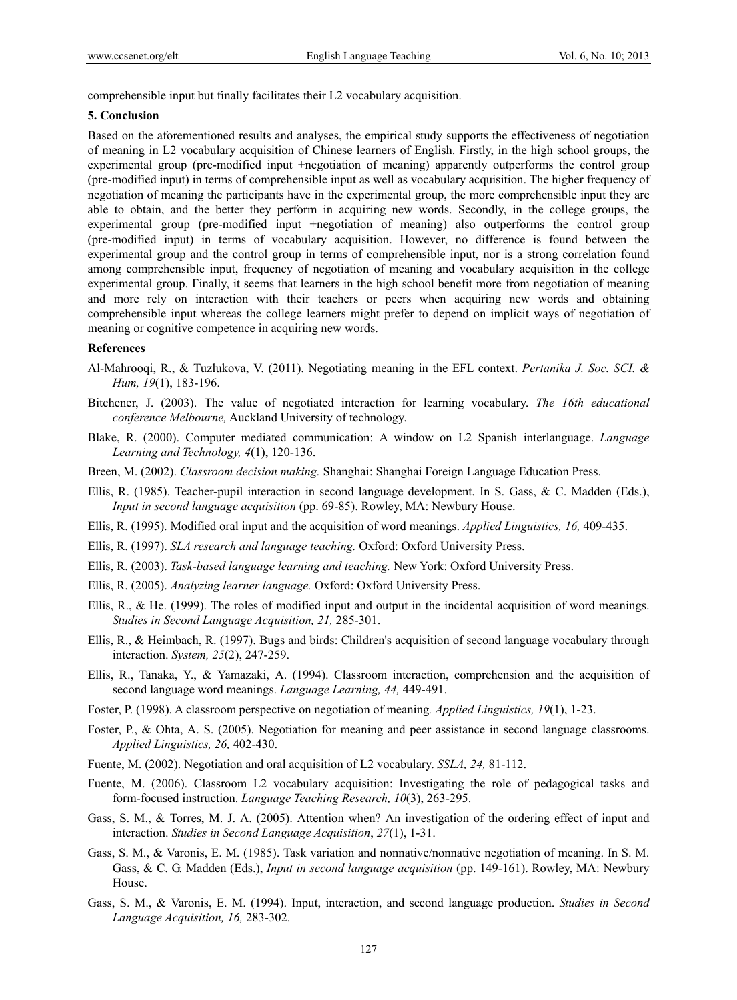comprehensible input but finally facilitates their L2 vocabulary acquisition.

#### **5. Conclusion**

Based on the aforementioned results and analyses, the empirical study supports the effectiveness of negotiation of meaning in L2 vocabulary acquisition of Chinese learners of English. Firstly, in the high school groups, the experimental group (pre-modified input +negotiation of meaning) apparently outperforms the control group (pre-modified input) in terms of comprehensible input as well as vocabulary acquisition. The higher frequency of negotiation of meaning the participants have in the experimental group, the more comprehensible input they are able to obtain, and the better they perform in acquiring new words. Secondly, in the college groups, the experimental group (pre-modified input +negotiation of meaning) also outperforms the control group (pre-modified input) in terms of vocabulary acquisition. However, no difference is found between the experimental group and the control group in terms of comprehensible input, nor is a strong correlation found among comprehensible input, frequency of negotiation of meaning and vocabulary acquisition in the college experimental group. Finally, it seems that learners in the high school benefit more from negotiation of meaning and more rely on interaction with their teachers or peers when acquiring new words and obtaining comprehensible input whereas the college learners might prefer to depend on implicit ways of negotiation of meaning or cognitive competence in acquiring new words.

#### **References**

- Al-Mahrooqi, R., & Tuzlukova, V. (2011). Negotiating meaning in the EFL context. *Pertanika J. Soc. SCI. & Hum, 19*(1), 183-196.
- Bitchener, J. (2003). The value of negotiated interaction for learning vocabulary. *The 16th educational conference Melbourne,* Auckland University of technology.
- Blake, R. (2000). Computer mediated communication: A window on L2 Spanish interlanguage. *Language Learning and Technology, 4*(1), 120-136.
- Breen, M. (2002). *Classroom decision making.* Shanghai: Shanghai Foreign Language Education Press.
- Ellis, R. (1985). Teacher-pupil interaction in second language development. In S. Gass, & C. Madden (Eds.), *Input in second language acquisition* (pp. 69-85). Rowley, MA: Newbury House.
- Ellis, R. (1995). Modified oral input and the acquisition of word meanings. *Applied Linguistics, 16,* 409-435.
- Ellis, R. (1997). *SLA research and language teaching.* Oxford: Oxford University Press.
- Ellis, R. (2003). *Task-based language learning and teaching.* New York: Oxford University Press.
- Ellis, R. (2005). *Analyzing learner language.* Oxford: Oxford University Press.
- Ellis, R., & He. (1999). The roles of modified input and output in the incidental acquisition of word meanings. *Studies in Second Language Acquisition, 21,* 285-301.
- Ellis, R., & Heimbach, R. (1997). Bugs and birds: Children's acquisition of second language vocabulary through interaction. *System, 25*(2), 247-259.
- Ellis, R., Tanaka, Y., & Yamazaki, A. (1994). Classroom interaction, comprehension and the acquisition of second language word meanings. *Language Learning, 44,* 449-491.
- Foster, P. (1998). A classroom perspective on negotiation of meaning*. Applied Linguistics, 19*(1), 1-23.
- Foster, P., & Ohta, A. S. (2005). Negotiation for meaning and peer assistance in second language classrooms. *Applied Linguistics, 26,* 402-430.
- Fuente, M. (2002). Negotiation and oral acquisition of L2 vocabulary. *SSLA, 24,* 81-112.
- Fuente, M. (2006). Classroom L2 vocabulary acquisition: Investigating the role of pedagogical tasks and form-focused instruction. *Language Teaching Research, 10*(3), 263-295.
- Gass, S. M., & Torres, M. J. A. (2005). Attention when? An investigation of the ordering effect of input and interaction. *Studies in Second Language Acquisition*, *27*(1), 1-31.
- Gass, S. M., & Varonis, E. M. (1985). Task variation and nonnative/nonnative negotiation of meaning. In S. M. Gass, & C. G. Madden (Eds.), *Input in second language acquisition* (pp. 149-161). Rowley, MA: Newbury House.
- Gass, S. M., & Varonis, E. M. (1994). Input, interaction, and second language production. *Studies in Second Language Acquisition, 16,* 283-302.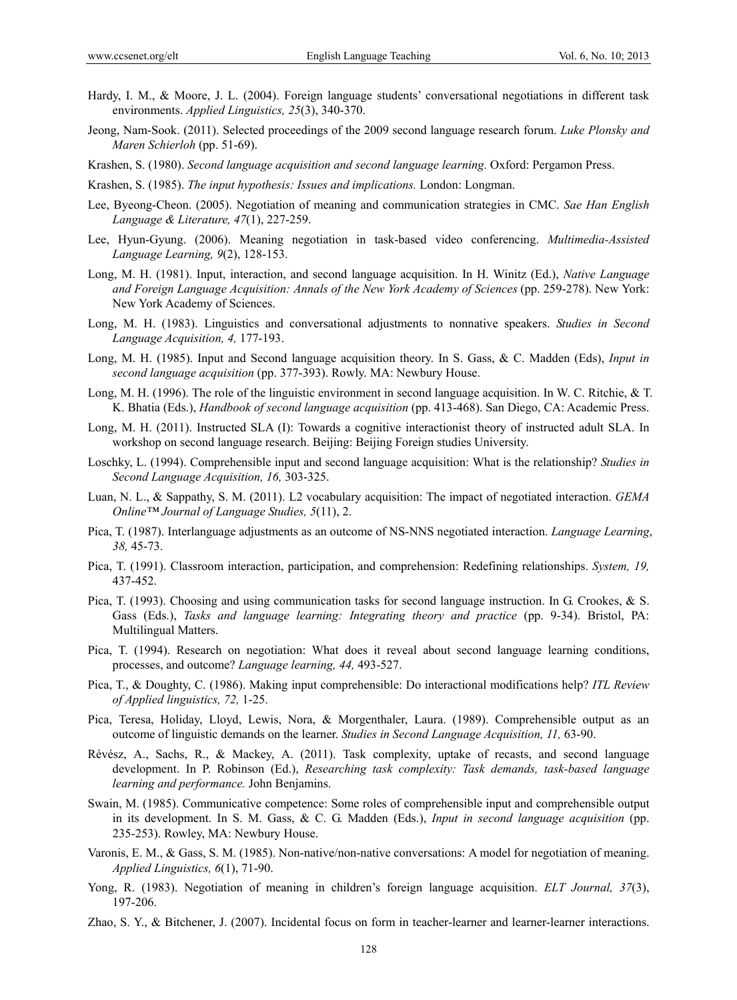- Hardy, I. M., & Moore, J. L. (2004). Foreign language students' conversational negotiations in different task environments. *Applied Linguistics, 25*(3), 340-370.
- Jeong, Nam-Sook. (2011). Selected proceedings of the 2009 second language research forum. *Luke Plonsky and Maren Schierloh* (pp. 51-69).
- Krashen, S. (1980). *Second language acquisition and second language learning.* Oxford: Pergamon Press.
- Krashen, S. (1985). *The input hypothesis: Issues and implications.* London: Longman.
- Lee, Byeong-Cheon. (2005). Negotiation of meaning and communication strategies in CMC. *Sae Han English Language & Literature, 47*(1), 227-259.
- Lee, Hyun-Gyung. (2006). Meaning negotiation in task-based video conferencing. *Multimedia-Assisted Language Learning, 9*(2), 128-153.
- Long, M. H. (1981). Input, interaction, and second language acquisition. In H. Winitz (Ed.), *Native Language and Foreign Language Acquisition: Annals of the New York Academy of Sciences* (pp. 259-278). New York: New York Academy of Sciences.
- Long, M. H. (1983). Linguistics and conversational adjustments to nonnative speakers. *Studies in Second Language Acquisition, 4,* 177-193.
- Long, M. H. (1985). Input and Second language acquisition theory. In S. Gass, & C. Madden (Eds), *Input in second language acquisition* (pp. 377-393). Rowly. MA: Newbury House.
- Long, M. H. (1996). The role of the linguistic environment in second language acquisition. In W. C. Ritchie, & T. K. Bhatia (Eds.), *Handbook of second language acquisition* (pp. 413-468). San Diego, CA: Academic Press.
- Long, M. H. (2011). Instructed SLA (I): Towards a cognitive interactionist theory of instructed adult SLA. In workshop on second language research. Beijing: Beijing Foreign studies University.
- Loschky, L. (1994). Comprehensible input and second language acquisition: What is the relationship? *Studies in Second Language Acquisition, 16,* 303-325.
- Luan, N. L., & Sappathy, S. M. (2011). L2 vocabulary acquisition: The impact of negotiated interaction. *GEMA Online™ Journal of Language Studies, 5*(11), 2.
- Pica, T. (1987). Interlanguage adjustments as an outcome of NS-NNS negotiated interaction. *Language Learning*, *38,* 45-73.
- Pica, T. (1991). Classroom interaction, participation, and comprehension: Redefining relationships. *System, 19,*  437-452.
- Pica, T. (1993). Choosing and using communication tasks for second language instruction. In G. Crookes, & S. Gass (Eds.), *Tasks and language learning: Integrating theory and practice* (pp. 9-34). Bristol, PA: Multilingual Matters.
- Pica, T. (1994). Research on negotiation: What does it reveal about second language learning conditions, processes, and outcome? *Language learning, 44,* 493-527.
- Pica, T., & Doughty, C. (1986). Making input comprehensible: Do interactional modifications help? *ITL Review of Applied linguistics, 72,* 1-25.
- Pica, Teresa, Holiday, Lloyd, Lewis, Nora, & Morgenthaler, Laura. (1989). Comprehensible output as an outcome of linguistic demands on the learner. *Studies in Second Language Acquisition, 11,* 63-90.
- Révész, A., Sachs, R., & Mackey, A. (2011). Task complexity, uptake of recasts, and second language development. In P. Robinson (Ed.), *Researching task complexity: Task demands, task-based language learning and performance.* John Benjamins.
- Swain, M. (1985). Communicative competence: Some roles of comprehensible input and comprehensible output in its development. In S. M. Gass, & C. G. Madden (Eds.), *Input in second language acquisition* (pp. 235-253). Rowley, MA: Newbury House.
- Varonis, E. M., & Gass, S. M. (1985). Non-native/non-native conversations: A model for negotiation of meaning. *Applied Linguistics, 6*(1), 71-90.
- Yong, R. (1983). Negotiation of meaning in children's foreign language acquisition. *ELT Journal, 37*(3), 197-206.
- Zhao, S. Y., & Bitchener, J. (2007). Incidental focus on form in teacher-learner and learner-learner interactions.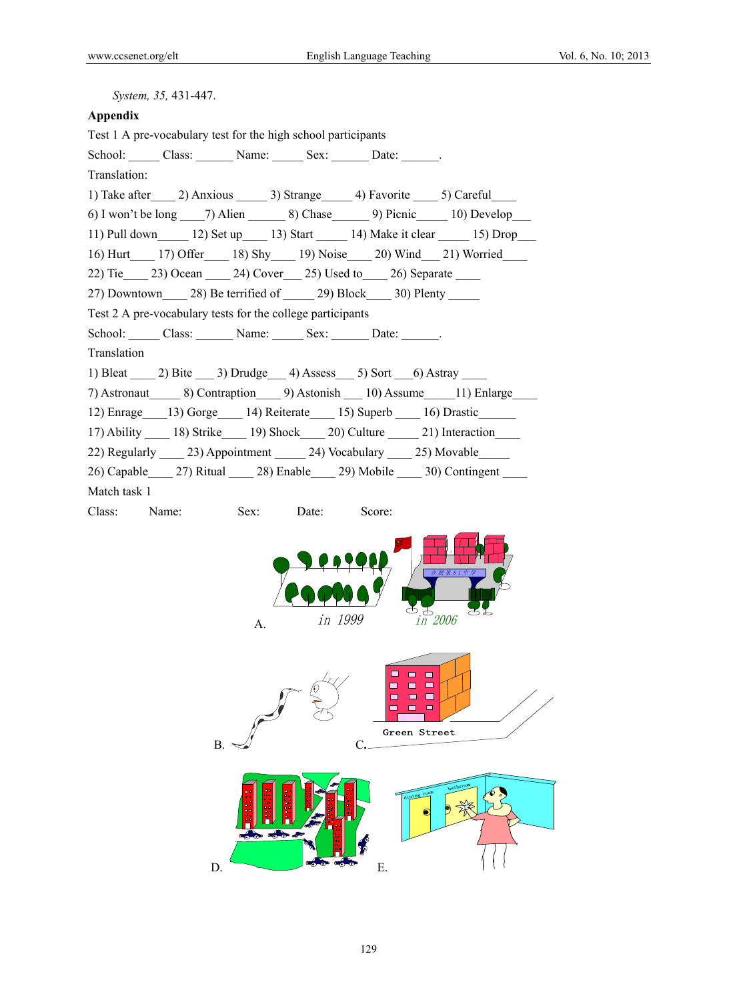| System, 35, 431-447.                                                                                              |
|-------------------------------------------------------------------------------------------------------------------|
| Appendix                                                                                                          |
| Test 1 A pre-vocabulary test for the high school participants                                                     |
|                                                                                                                   |
| Translation:                                                                                                      |
| 1) Take after 2) Anxious 3) Strange 4) Favorite 5) Careful                                                        |
| 6) I won't be long 7) Alien 8) Chase 9) Picnic 10) Develop                                                        |
| 11) Pull down $\qquad$ 12) Set up $\qquad$ 13) Start $\qquad$ 14) Make it clear $\qquad$ 15) Drop                 |
| 16) Hurt 17) Offer 18) Shy 19) Noise 20) Wind 21) Worried                                                         |
| 22) Tie 23) Ocean 24) Cover 25) Used to 26) Separate                                                              |
| 27) Downtown 28) Be terrified of 29) Block 30) Plenty                                                             |
| Test 2 A pre-vocabulary tests for the college participants                                                        |
| School: Class: Name: Sex: Date: .                                                                                 |
| Translation                                                                                                       |
| 1) Bleat 2) Bite 3) Drudge 4) Assess 5) Sort 6) Astray                                                            |
| 7) Astronaut ________ 8) Contraption ______ 9) Astonish _____ 10) Assume ______ 11) Enlarge                       |
| 12) Enrage __ 13) Gorge ____ 14) Reiterate ____ 15) Superb ____ 16) Drastic _____                                 |
| 17) Ability 18) Strike 19) Shock 20) Culture 21) Interaction                                                      |
| 22) Regularly 23) Appointment 24) Vocabulary 25) Movable                                                          |
| 26) Capable 27) Ritual 28) Enable 29) Mobile 30) Contingent                                                       |
| Match task 1                                                                                                      |
| Class: Name:<br>Score:<br>Sex: Date:                                                                              |
| 合肥第81中学<br>$\overset{\text{\tiny{4}}}{\phantom{+}}\frac{1}{\text{in}}\frac{2006}{\text{}}$<br>കു<br>in 1999<br>A. |
| $\Box$<br>ш<br>$\blacksquare$<br>$\qquad \qquad \blacksquare$<br>□<br>Green Street<br>В.                          |
| ---<br>Е.<br>D.                                                                                                   |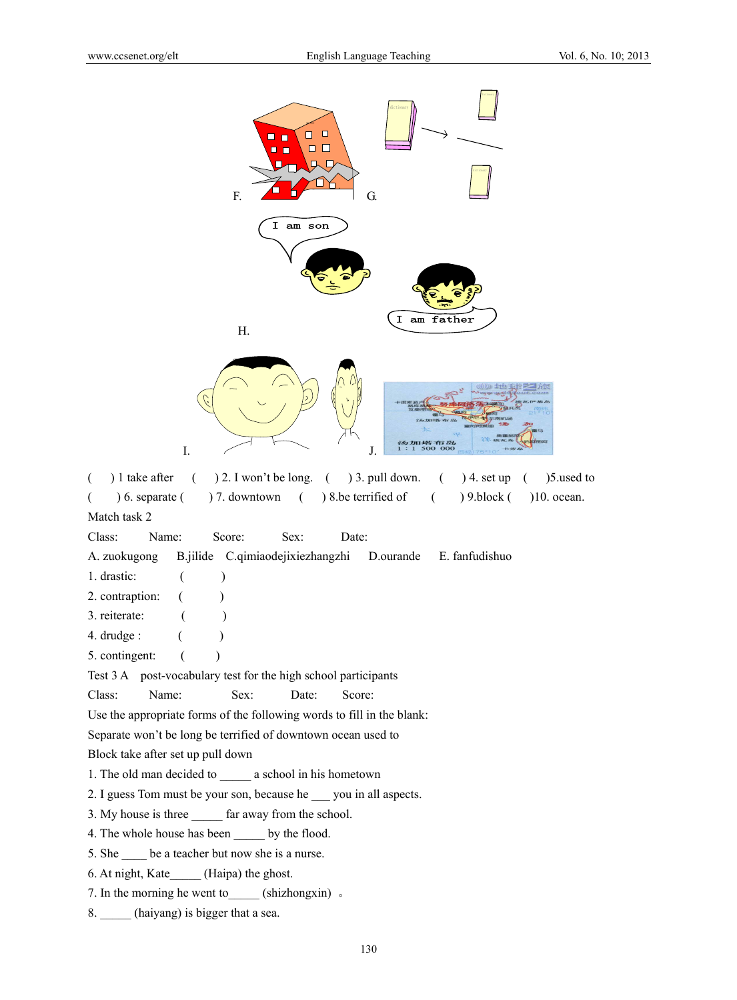

I.  $\angle$  J.

( ) 1 take after ( ) 2. I won't be long. ( ) 3. pull down. ( ) 4. set up ( )5.used to  $($   $)$  6. separate  $($   $)$  7. downtown  $($   $)$  8.be terrified of  $($   $)$  9.block  $($   $)$  10. ocean. Match task 2

汤加塔布岛<br>1:1 500 000

Class: Name: Score: Sex: Date:

A. zuokugong B.jilide C.qimiaodejixiezhangzhi D.ourande E. fanfudishuo

- 1. drastic: ( )
- 2. contraption:  $($
- 3. reiterate: ()
- 4. drudge : ( )

5. contingent:  $( )$ 

Test 3 A post-vocabulary test for the high school participants

Class: Name: Sex: Date: Score:

Use the appropriate forms of the following words to fill in the blank:

Separate won't be long be terrified of downtown ocean used to

Block take after set up pull down

1. The old man decided to \_\_\_\_\_ a school in his hometown

2. I guess Tom must be your son, because he \_\_\_ you in all aspects.

3. My house is three far away from the school.

4. The whole house has been by the flood.

5. She \_\_\_\_ be a teacher but now she is a nurse.

6. At night, Kate\_\_\_\_\_ (Haipa) the ghost.

7. In the morning he went to  $\qquad$  (shizhongxin)  $\circ$ 

8. \_\_\_\_\_ (haiyang) is bigger that a sea.